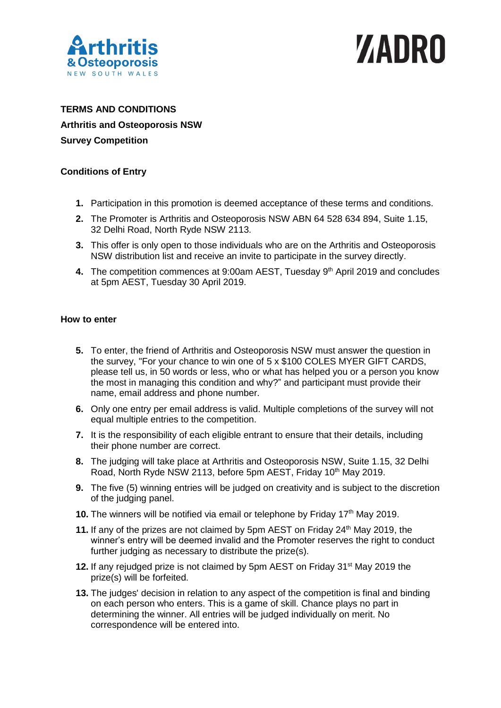

# WADRO

## **TERMS AND CONDITIONS Arthritis and Osteoporosis NSW Survey Competition**

### **Conditions of Entry**

- **1.** Participation in this promotion is deemed acceptance of these terms and conditions.
- **2.** The Promoter is Arthritis and Osteoporosis NSW ABN 64 528 634 894, Suite 1.15, 32 Delhi Road, North Ryde NSW 2113.
- **3.** This offer is only open to those individuals who are on the Arthritis and Osteoporosis NSW distribution list and receive an invite to participate in the survey directly.
- **4.** The competition commences at 9:00am AEST, Tuesday 9<sup>th</sup> April 2019 and concludes at 5pm AEST, Tuesday 30 April 2019.

#### **How to enter**

- **5.** To enter, the friend of Arthritis and Osteoporosis NSW must answer the question in the survey, "For your chance to win one of 5 x \$100 COLES MYER GIFT CARDS, please tell us, in 50 words or less, who or what has helped you or a person you know the most in managing this condition and why?" and participant must provide their name, email address and phone number.
- **6.** Only one entry per email address is valid. Multiple completions of the survey will not equal multiple entries to the competition.
- **7.** It is the responsibility of each eligible entrant to ensure that their details, including their phone number are correct.
- **8.** The judging will take place at Arthritis and Osteoporosis NSW, Suite 1.15, 32 Delhi Road, North Ryde NSW 2113, before 5pm AEST, Friday 10<sup>th</sup> May 2019.
- **9.** The five (5) winning entries will be judged on creativity and is subject to the discretion of the judging panel.
- **10.** The winners will be notified via email or telephone by Friday 17<sup>th</sup> May 2019.
- 11. If any of the prizes are not claimed by 5pm AEST on Friday 24<sup>th</sup> May 2019, the winner's entry will be deemed invalid and the Promoter reserves the right to conduct further judging as necessary to distribute the prize(s).
- **12.** If any rejudged prize is not claimed by 5pm AEST on Friday 31<sup>st</sup> May 2019 the prize(s) will be forfeited.
- **13.** The judges' decision in relation to any aspect of the competition is final and binding on each person who enters. This is a game of skill. Chance plays no part in determining the winner. All entries will be judged individually on merit. No correspondence will be entered into.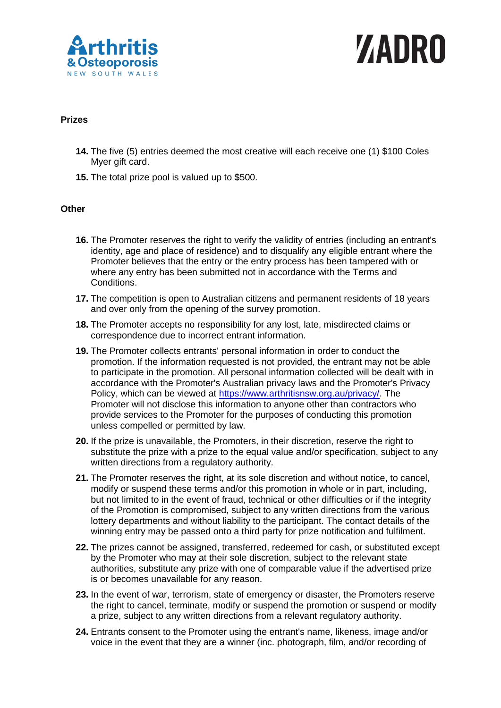

# WADRO

### **Prizes**

- **14.** The five (5) entries deemed the most creative will each receive one (1) \$100 Coles Myer gift card.
- **15.** The total prize pool is valued up to \$500.

#### **Other**

- **16.** The Promoter reserves the right to verify the validity of entries (including an entrant's identity, age and place of residence) and to disqualify any eligible entrant where the Promoter believes that the entry or the entry process has been tampered with or where any entry has been submitted not in accordance with the Terms and Conditions.
- **17.** The competition is open to Australian citizens and permanent residents of 18 years and over only from the opening of the survey promotion.
- **18.** The Promoter accepts no responsibility for any lost, late, misdirected claims or correspondence due to incorrect entrant information.
- **19.** The Promoter collects entrants' personal information in order to conduct the promotion. If the information requested is not provided, the entrant may not be able to participate in the promotion. All personal information collected will be dealt with in accordance with the Promoter's Australian privacy laws and the Promoter's Privacy Policy, which can be viewed at [https://www.arthritisnsw.org.au/privacy/.](https://www.arthritisnsw.org.au/privacy/) The Promoter will not disclose this information to anyone other than contractors who provide services to the Promoter for the purposes of conducting this promotion unless compelled or permitted by law.
- **20.** If the prize is unavailable, the Promoters, in their discretion, reserve the right to substitute the prize with a prize to the equal value and/or specification, subject to any written directions from a regulatory authority.
- **21.** The Promoter reserves the right, at its sole discretion and without notice, to cancel, modify or suspend these terms and/or this promotion in whole or in part, including, but not limited to in the event of fraud, technical or other difficulties or if the integrity of the Promotion is compromised, subject to any written directions from the various lottery departments and without liability to the participant. The contact details of the winning entry may be passed onto a third party for prize notification and fulfilment.
- **22.** The prizes cannot be assigned, transferred, redeemed for cash, or substituted except by the Promoter who may at their sole discretion, subject to the relevant state authorities, substitute any prize with one of comparable value if the advertised prize is or becomes unavailable for any reason.
- **23.** In the event of war, terrorism, state of emergency or disaster, the Promoters reserve the right to cancel, terminate, modify or suspend the promotion or suspend or modify a prize, subject to any written directions from a relevant regulatory authority.
- **24.** Entrants consent to the Promoter using the entrant's name, likeness, image and/or voice in the event that they are a winner (inc. photograph, film, and/or recording of